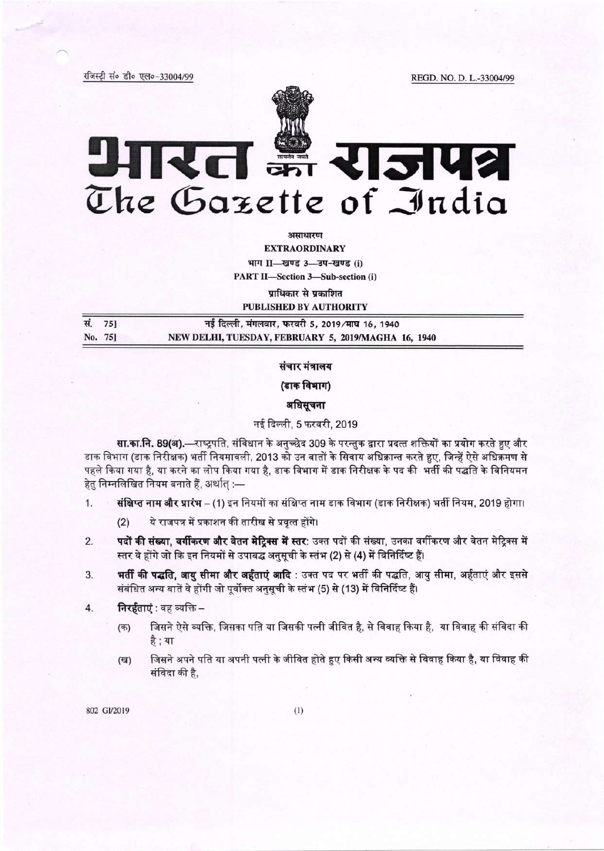रजिस्ट्री सं० डी० एल०-33004/99

REGD. NO. D. L.-33004/99



# आरत झैं राजपत्र The Gazette of India

असाधारण

**EXTRAORDINARY** 

भाग II-खण्ड 3-उप-खण्ड (i)

**PART II-Section 3-Sub-section (i)** 

प्राधिकार से प्रकाशित

**PUBLISHED BY AUTHORITY** 

| सं. 75] | नई दिल्ली, मंगलवार, फरवरी 5, 2019/माघ 16, 1940      |
|---------|-----------------------------------------------------|
| No. 75] | NEW DELHI, TUESDAY, FEBRUARY 5, 2019/MAGHA 16, 1940 |

## संचार मंत्रालय

(डाक विभाग)

# अधिसूचना

# नई दिल्ली, 5 फरवरी, 2019

सा.का.नि. 89(अ).—राष्ट्रपति, संविधान के अनुच्छेद 309 के परन्तुक द्वारा प्रदत्त शक्तियों का प्रयोग करते हुए और डाक विभाग (डाक निरीक्षक) भर्ती नियमावली, 2013 को उन बातों के सिवाय अधिक्रान्त करते हुए, जिन्हें ऐसे अधिक्रमण से पहले किया गया है, या करने का लोप किया गया है, डाक विभाग में डाक निरीक्षक के पद की भर्ती की पद्धति के विनियमन हेतु निम्नलिखित नियम बनाते हैं, अर्थात् :—

- संक्षिप्त नाम और प्रारंभ (1) इन नियमों का संक्षिप्त नाम डाक विभाग (डाक निरीक्षक) भर्ती नियम, 2019 होगा।  $1.$ 
	- ये राजपत्र में प्रकाशन की तारीख से प्रवृत्त होंगे।  $(2)$
- पदों की संख्या, वर्गीकरण और वेतन मेट्रिक्स में स्तर: उक्त पदों की संख्या, उनका वर्गीकरण और वेतन मेट्रिक्स में  $2.$ स्तर वे होंगे जो कि इन नियमों से उपाबद्ध अनुसूची के स्तंभ (2) से (4) में विनिर्दिष्ट हैं।
- भर्ती की पद्धति, आयु सीमा और अर्हताएं आदि : उक्त पद पर भर्ती की पद्धति, आयु सीमा, अर्हताएं और इससे 3. संबंधित अन्य बातें वे होंगी जो पूर्वोक्त अनुसूची के स्तंभ (5) से (13) में विनिर्दिष्ट हैं।
- निरर्हताएं : वह व्यक्ति  $4.$ 
	- जिसने ऐसे व्यक्ति, जिसका पति या जिसकी पत्नी जीवित है, से विवाह किया है, या विवाह की संविदा की  $($ क) है ; या
	- जिसने अपने पति या अपनी पत्नी के जीवित होते हुए किसी अन्य व्यक्ति से विवाह किया है, या विवाह की (দ্ব) संविदा की है.

802 GI/2019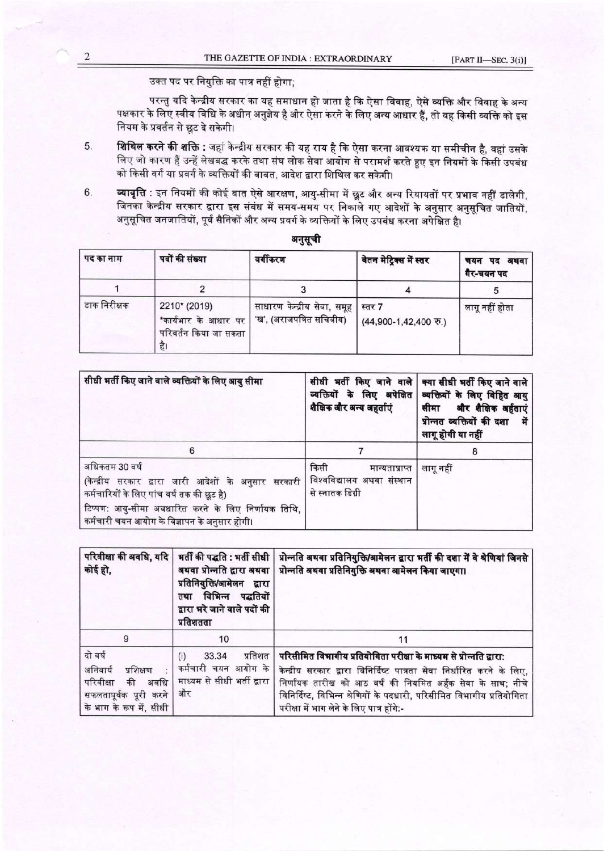उक्त पद पर नियुक्ति का पात्र नहीं होगा;

परन्तु यदि केन्द्रीय सरकार का यह समाधान हो जाता है कि ऐसा विवाह, ऐसे व्यक्ति और विवाह के अन्य पक्षकार के लिए स्वीय विधि के अधीन अनुज्ञेय है और ऐसा करने के लिए अन्य आधार हैं, तो वह किसी व्यक्ति को इस नियम के प्रवर्तन से छूट दे सकेगी।

- **शिथिल करने की शक्ति** : जहां केन्द्रीय सरकार की यह राय है कि ऐसा करना आवश्यक या समीचीन है, वहां उसके 5. लिए जो कारण हैं उन्हें लेखबद्ध करके तथा संघ लोक सेवा आयोग से परामर्श करते हुए इन नियमों के किसी उपबंध को किसी वर्ग या प्रवर्ग के व्यक्तियों की बाबत, आदेश द्वारा शिथिल कर सकेगी।
- **व्यावृत्ति** : इन नियमों की कोई बात ऐसे आरक्षण, आयु-सीमा में छूट और अन्य रियायतों पर प्रभाव नहीं डालेगी, 6. जिनका केन्द्रीय सरकार द्वारा इस संबंध में समय-समय पर निकाले गए आदेशों के अनुसार अनुसूचित जातियों, अनुसूचित जनजातियों, पूर्व सैनिकों और अन्य प्रवर्ग के व्यक्तियों के लिए उपबंध करना अपेक्षित है।

| पद का नाम    | पदों की संख्या                                                      | वर्गीकरण                                                | वेतन मेट्रिक्स में स्तर        | चयन पद अथवा<br>गैर-चयन पद |
|--------------|---------------------------------------------------------------------|---------------------------------------------------------|--------------------------------|---------------------------|
|              |                                                                     |                                                         |                                |                           |
| डाक निरीक्षक | 2210* (2019)<br>*कार्यभार के आधार पर<br>परिवर्तन किया जा सकता<br>ह। | साधारण केन्द्रीय सेवा, समूह<br>'ख', (अराजपत्रित सचिवीय) | स्तर 7<br>(44,900-1,42,400 万.) | लागू नहीं होता            |

| सीधी भर्ती किए जाने वाले व्यक्तियों के लिए आयु सीमा                                                                                                                                                                          | शैक्षिक और अन्य अहर्ताएं                                                 | सीधी भर्ती किए जाने वाले   क्या सीधी भर्ती किए जाने वाले  <br>व्यक्तियों के लिए अपेक्षित व्यक्तियों के लिए विहित आयु<br>सीमा और शैक्षिक अर्हताएं<br>प्रोन्नत व्यक्तियों की दशा<br>में<br>लागू होगी या नहीं |  |
|------------------------------------------------------------------------------------------------------------------------------------------------------------------------------------------------------------------------------|--------------------------------------------------------------------------|------------------------------------------------------------------------------------------------------------------------------------------------------------------------------------------------------------|--|
| 6                                                                                                                                                                                                                            |                                                                          |                                                                                                                                                                                                            |  |
| अधिकतम 30 वर्ष<br>(केन्द्रीय सरकार द्वारा जारी आदेशों के अनुसार सरकारी<br>कर्मचारियों के लिए पांच वर्ष तक की छूट है)<br>टिप्पण: आयु-सीमा अवधारित करने के लिए निर्णायक तिथि,<br>कर्मचारी चयन आयोग के विज्ञापन के अनुसार होगी। | किसी<br>मान्यताप्राप्त<br>विश्वविद्यालय अथवा संस्थान<br>से स्नातक डिग्री | लागू नहीं                                                                                                                                                                                                  |  |

| कोई हो,                                                                                                         | प्रतिनियुक्ति/आमेलन द्वारा<br>तथा विभिन्न पद्धतियों<br>द्वारा भरे जाने वाले पदों की<br>प्रतिशतता | परिवीक्षा की अवधि, यदि   भर्ती की पद्धति : भर्ती सीधी   प्रोन्नति अथवा प्रतिनियुक्ति/आमेलन द्वारा भर्ती की दशा में वे श्रेणियां जिनसे<br>अथवा प्रोन्नति द्वारा अथवा   प्रोन्नति अथवा प्रतिनियुक्ति अथवा आमेलन किया जाएगा।                                                                                                           |  |
|-----------------------------------------------------------------------------------------------------------------|--------------------------------------------------------------------------------------------------|-------------------------------------------------------------------------------------------------------------------------------------------------------------------------------------------------------------------------------------------------------------------------------------------------------------------------------------|--|
|                                                                                                                 | 10                                                                                               |                                                                                                                                                                                                                                                                                                                                     |  |
| दो वर्ष<br>अनिवार्य<br>प्रशिक्षण<br>परिवीक्षा<br>की<br>अवधि<br>सफलतापूर्वक पूरी करने<br>के भाग के रूप में, सीधी | प्रतिशत<br>33.34<br>(i)<br>कर्मचारी चयन आयोग के<br>माध्यम से सीधी भर्ती द्वारा<br>और             | परिसीमित विभागीय प्रतियोगिता परीक्षा के माध्यम से प्रोन्नति द्वारा:<br>केन्द्रीय सरकार द्वारा विनिर्दिष्ट पात्रता सेवा निर्धारित करने के लिए,<br>निर्णायक तारीख को आठ वर्ष की नियमित अर्हक सेवा के साथ; नीचे<br>विनिर्दिष्ट, विभिन्न श्रेणियों के पदधारी, परिसीमित विभागीय प्रतियोगिता<br>परीक्षा में भाग लेने के लिए पात्र होंगे:- |  |

अनसची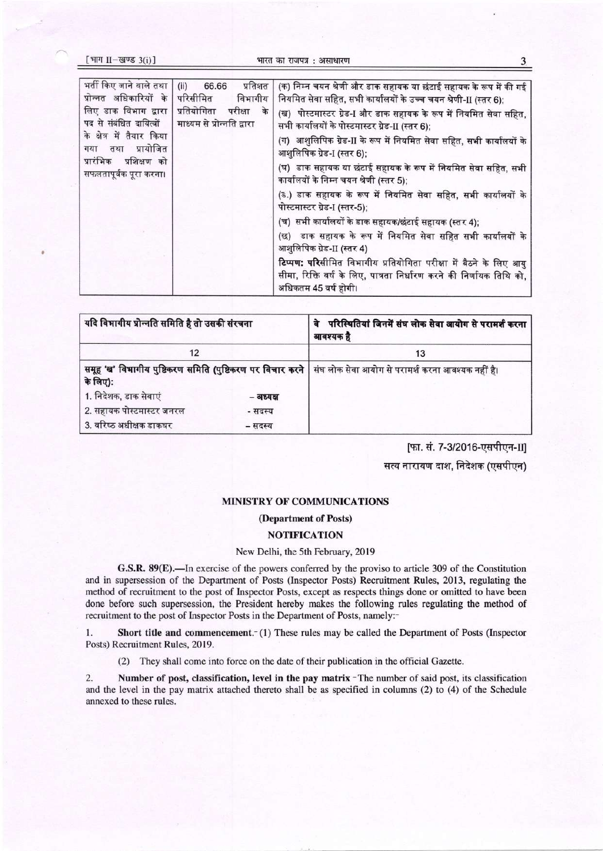| [भाग II-खण्ड $3(i)$ ]                                                                                                                                                                                                 |                                                                                                           | भारत का राजपत्र : असाधारण                                                                                                                                                                                                                                                                                                                                                                                                                                                                                                                                                                                                                                                                                                                                                                                                                                                                                      |
|-----------------------------------------------------------------------------------------------------------------------------------------------------------------------------------------------------------------------|-----------------------------------------------------------------------------------------------------------|----------------------------------------------------------------------------------------------------------------------------------------------------------------------------------------------------------------------------------------------------------------------------------------------------------------------------------------------------------------------------------------------------------------------------------------------------------------------------------------------------------------------------------------------------------------------------------------------------------------------------------------------------------------------------------------------------------------------------------------------------------------------------------------------------------------------------------------------------------------------------------------------------------------|
| भर्ती किए जाने वाले तथा<br>प्रोन्नत अधिकारियों के<br>लिए डाक विभाग द्वारा  <br>पद से संबंधित दायित्वों<br>के क्षेत्र में तैयार किया<br>प्रायोजित<br>तथा<br>गया<br>प्रारंभिक<br>प्रशिक्षण को<br>सफलतापूर्वक पूरा करना। | प्रतिशत<br>$(ii)$ 66.66<br>परिसीमित<br>विभागीय<br>प्रतियोगिता<br>परीक्षा के<br>माध्यम से प्रोन्नति द्वारा | (क) निम्न चयन श्रेणी और डाक सहायक या छंटाई सहायक के रूप में की गई<br>नियमित सेवा सहित, सभी कार्यालयों के उच्च चयन श्रेणी-II (स्तर 6);<br>(ख) पोस्टमास्टर ग्रेड-I और डाक सहायक के रूप में नियमित सेवा सहित,<br>सभी कार्यालयों के पोस्टमास्टर ग्रेड-II (स्तर 6);<br>(ग) आशुलिपिक ग्रेड-II के रूप में नियमित सेवा सहित, सभी कार्यालयों के<br>आशुलिपिक ग्रेड-I (स्तर 6);<br>(घ) डाक सहायक या छंटाई सहायक के रूप में नियमित सेवा सहित, सभी<br>कार्यालयों के निम्न चयन श्रेणी (स्तर 5);<br>(ड.) डाक सहायक के रूप में नियमित सेवा सहित, सभी कार्यालयों के<br>पोस्टमास्टर ग्रेड-I (स्तर-5);<br>(च) सभी कार्यालयों के डाक सहायक/छंटाई सहायक (स्तर 4);<br>(छ) डाक सहायक के रूप में नियमित सेवा सहित सभी कार्यालयों के<br>आशुलिपिक ग्रेड-II (स्तर 4)<br>टिप्पण: परिसीमित विभागीय प्रतियोगिता परीक्षा में बैठने के लिए आयु<br>सीमा, रिक्ति वर्ष के लिए, पात्रता निर्धारण करने की निर्णायक तिथि को,<br>अधिकतम 45 वर्ष होगी। |

| यदि विभागीय प्रोन्नति समिति है तो उसकी संरचना |           | परिस्थितियां जिनमें संघ लोक सेवा आयोग से परामर्श करना<br>वे<br>आवश्यक है                                      |  |  |
|-----------------------------------------------|-----------|---------------------------------------------------------------------------------------------------------------|--|--|
| 12                                            |           | 13                                                                                                            |  |  |
| के लिए):                                      |           | समूह 'ख' विभागीय पुष्टिकरण समिति (पुष्टिकरण पर विचार करने   संघ लोक सेवा आयोग से परामर्श करना आवश्यक नहीं है। |  |  |
| 1. निदेशक, डाक सेवाएं                         | – अध्यक्ष |                                                                                                               |  |  |
| 2. सहायक पोस्टमास्टर जनरल                     | - सदस्य   |                                                                                                               |  |  |
| 3. वरिष्ठ अधीक्षक डाकघर                       | – सदस्य   |                                                                                                               |  |  |

[फा. सं. 7-3/2016-एसपीएन-II] सत्य नारायण दाश, निदेशक (एसपीएन)

# MINISTRY OF COMMUNICATIONS

#### (Department of Posts)

#### **NOTIFICATION**

## New Delhi, the 5th February, 2019

G.S.R. 89(E).—In exercise of the powers conferred by the proviso to article 309 of the Constitution and in supersession of the Department of Posts (Inspector Posts) Recruitment Rules, 2013, regulating the method of recruitment to the post of Inspector Posts, except as respects things done or omitted to have been done before such supersession, the President hereby makes the following rules regulating the method of recruitment to the post of Inspector Posts in the Department of Posts, namely:-

1. Short title and commencement.<sup>-</sup> (1) These rules may be called the Department of Posts (Inspector Posts) Recruitment Rules, 2019.

(2) They shall come into force on the date of their publication in the official Gazette.

Number of post, classification, level in the pay matrix - The number of said post, its classification  $2.$ and the level in the pay matrix attached thereto shall be as specified in columns (2) to (4) of the Schedule annexed to these rules.